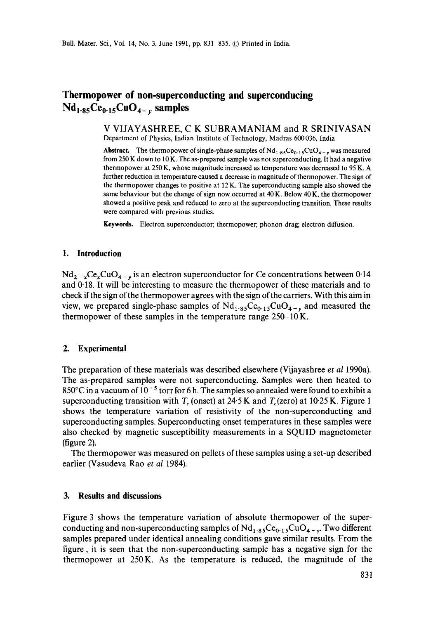# **Thermopower of non-superconducting and superconducing**   $Nd_{1.85}Ce_{0.15}CuO_{4-v}$  samples

V VIJAYASHREE, C K SUBRAMANIAM and R SRINIVASAN Department of Physics, Indian Institute of Technology, Madras 600036, India

**Abstract.** The thermopower of single-phase samples of  $Nd_{1.85}Ce_{0.15}CuO_{4-y}$  was measured from 250 K down to 10 K. The as-prepared sample was not superconducting. **It** had a negative thermopower at 250 K, whose magnitude increased as temperature was decreased to 95 K. A further reduction in temperature caused a decrease in magnitude of thermopower. The sign of **the** thermopower changes to positive at 12 K. The superconducting sample also showed the same behaviour but the change of sign now occurred at 40 K. Below 40 K, the thermopower showed a positive peak and reduced to zero at the superconducting transition. These results were compared with previous studies.

**Keywords.** Electron superconductor; thermopower; phonon drag; electron diffusion.

## **1. Introduction**

 $Nd_{2-x}Ce_xCuO_{4-y}$  is an electron superconductor for Ce concentrations between 0.14 and 0-18. It will be interesting to measure the thermopower of these materials and to check if the sign of the thermopower agrees with the sign of the carriers. With this aim in view, we prepared single-phase samples of  $Nd_{1.85}Ce_{0.15}CuO_{4-v}$  and measured the thermopower of these samples in the temperature range  $250-10$ K.

## **2. Experimental**

The preparation of these materials was described elsewhere (Vijayashree *et al* 1990a). The as-prepared samples were not superconducting. Samples were then heated to  $850^{\circ}$ C in a vacuum of  $10^{-5}$  torr for 6 h. The samples so annealed were found to exhibit a superconducting transition with  $T_c$  (onset) at 24.5 K and  $T_c$  (zero) at 10.25 K. Figure 1 shows the temperature variation of resistivity of the non-superconducting and superconducting samples. Superconducting onset temperatures in these samples were also checked by magnetic susceptibility measurements in a SQUID magnetometer (figure 2).

The thermopower was measured on pellets of these samples using a set-up described earlier (Vasudeva Rao *et al* 1984).

## **3. Results and discussions**

Figure 3 shows the temperature variation of absolute thermopower of the superconducting and non-superconducting samples of  $Nd_{1.85}Ce_{0.15}CuO_{4-v}$ . Two different samples prepared under identical annealing conditions gave similar results. From the figure, it is seen that the non-superconducting sample has a negative sign for the thermopower at 250K. As the temperature is reduced, the magnitude of the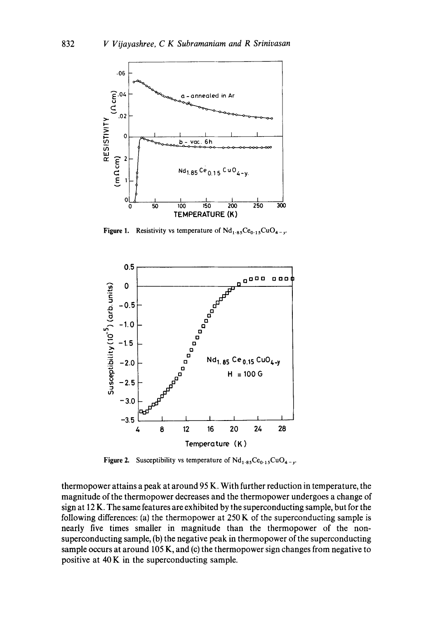

Figure 1. Resistivity vs temperature of  $Nd_{1.85}Ce_{0.15}CuO_{4-y}$ .



Figure 2. Susceptibility vs temperature of  $Nd_{1.85}Ce_{0.15}CuO_{4-y}$ .

thermopower attains a peak at around 95 K. With further reduction in temperature, the magnitude of the thermopower decreases and the thermopower undergoes a change of sign at 12 K. The same features are exhibited by the superconducting sample, but for the following differences: (a) the thermopower at  $250 K$  of the superconducting sample is nearly five times smaller in magnitude than the thermopower of the nonsuperconducting sample, (b) the negative peak in thermopower of the superconducting sample occurs at around 105 K, and (c) the thermopower sign changes from negative to positive at 40 K in the superconducting sample.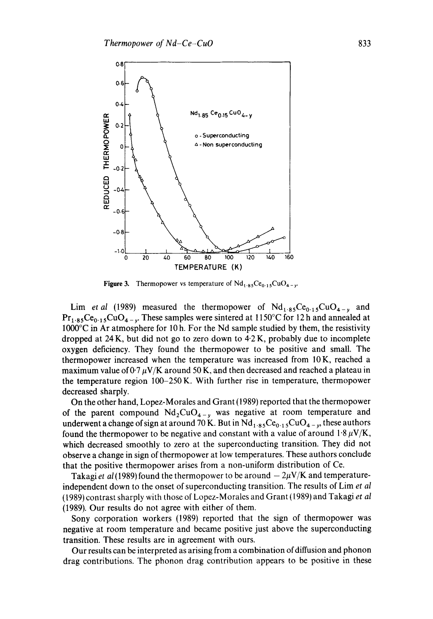

Figure 3. Thermopower vs temperature of  $Nd_{1.85}Ce_{0.15}CuO_{4-}r$ 

Lim *et al* (1989) measured the thermopower of  $Nd_{1.85}Ce_{0.15}CuO_{4-y}$  and  $Pr_{1.85}Ce_{0.15}CuO_{4-v}$ . These samples were sintered at 1150°C for 12 h and annealed at 1000°C in Ar atmosphere for 10 h. For the Nd sample studied by them, the resistivity dropped at  $24 K$ , but did not go to zero down to  $4.2 K$ , probably due to incomplete oxygen deficiency. They found the thermopower to be positive and small. The thermopower increased when the temperature was increased from 10K, reached a maximum value of  $0.7 \mu$ V/K around 50 K, and then decreased and reached a plateau in the temperature region 100-250K. With further rise in temperature, thermopower decreased sharply.

On the other hand, Lopez-Morales and Grant (1989) reported that the thermopower of the parent compound  $Nd_2CuO_{4-y}$  was negative at room temperature and underwent a change of sign at around 70 K. But in  $Nd_{1.85}Ce_{0.15}CuO_{4-y}$ , these authors found the thermopower to be negative and constant with a value of around  $1.8 \mu V/K$ , which decreased smoothly to zero at the superconducting transition. They did not observe a change in sign of thermopower at low temperatures. These authors conclude that the positive thermopower arises from a non-uniform distribution of Ce.

Takagi *et al* (1989) found the thermopower to be around  $-2\mu$ V/K and temperatureindependent down to the onset of superconducting transition. The results of Lim *et al*  (1989) contrast sharply with those of Lopez-Morales and Grant (1989) and Takagi *et al*  (1989). Our results do not agree with either of them.

Sony corporation workers (1989) reported that the sign of thermopower was negative at room temperature and became positive just above the superconducting transition. These results are in agreement with ours.

Our results can be interpreted as arising from a combination of diffusion and phonon drag contributions. The phonon drag contribution appears to be positive in these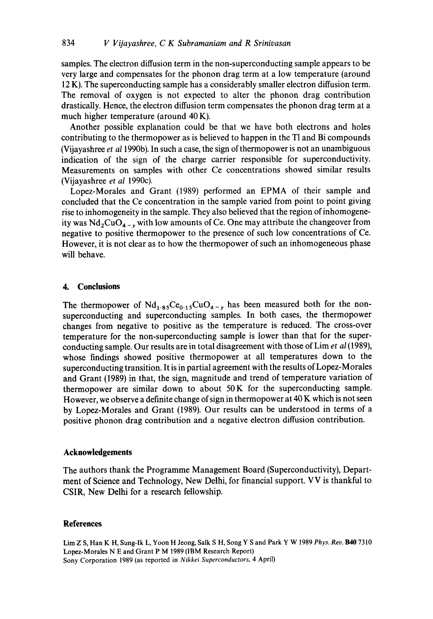samples. The electron diffusion term in the non-superconducting sample appears to be very large and compensates for the phonon drag term at a low temperature (around 12 K). The superconducting sample has a considerably smaller electron diffusion term. The removal of oxygen is not expected to alter the phonon drag contribution drastically. Hence, the electron diffusion term compensates the phonon drag term at a much higher temperature (around 40 K).

Another possible explanation could be that we have both electrons and holes contributing to the thermopower as is believed to happen in the T1 and Bi compounds (Vijayashree *et a11990b).* In such a case, the sign of thermopower is not an unambiguous indication of the sign of the charge carrier responsible for superconductivity. Measurements on samples with other Ce concentrations showed similar results (Vijayashree *et al* 1990c).

Lopez-Morales and Grant (1989) performed an EPMA of their sample and concluded that the Ce concentration in the sample varied from point to point giving rise to inhomogeneity in the sample. They also believed that the region of inhomogeneity was  $Nd_2CuO_{4-y}$  with low amounts of Ce. One may attribute the changeover from negative to positive thermopower to the presence of such low concentrations of Ce. However, it is not clear as to how the thermopower of such an inhomogeneous phase will behave.

### **4. Conclusions**

The thermopower of  $Nd_{1.85}Ce_{0.15}CuO_{4-v}$  has been measured both for the nonsuperconducting and superconducting samples. In both cases, the thermopower changes from negative to positive as the temperature is reduced. The cross-over temperature for the non-superconducting sample is lower than that for the superconducting sample. Our results are in total disagreement with those of Lim *et al* (1989), whose findings showed positive thermopower at all temperatures down to the superconducting transition. It is in partial agreement with the results of Lopez-Morales and Grant (1989) in that, the sign, magnitude and trend of temperature variation of thermopower are similar down to about 50K for the superconducting sample. However, we observe a definite change of sign in thermopower at 40 K which is not seen by Lopez-Morales and Grant (1989). Our results can be understood in terms of a positive phonon drag contribution and a negative electron diffusion contribution.

### **Acknowledgements**

The authors thank the Programme Management Board (Superconductivity), Department of Science and Technology, New Delhi, for financial support. VV is thankful to CSIR, New Delhi for a research fellowship.

#### **References**

Lim Z S, Han K H, Sung-Ik L, Yoon H Jeong, Salk S H, Song Y S and Park Y W 1989 *Phys. Rev. B40* 7310 Lopez-Morales N E and Grant P M 1989 (IBM Research Report) Sony Corporation 1989 (as reported in *Nikkei Superconductors,* 4 April)